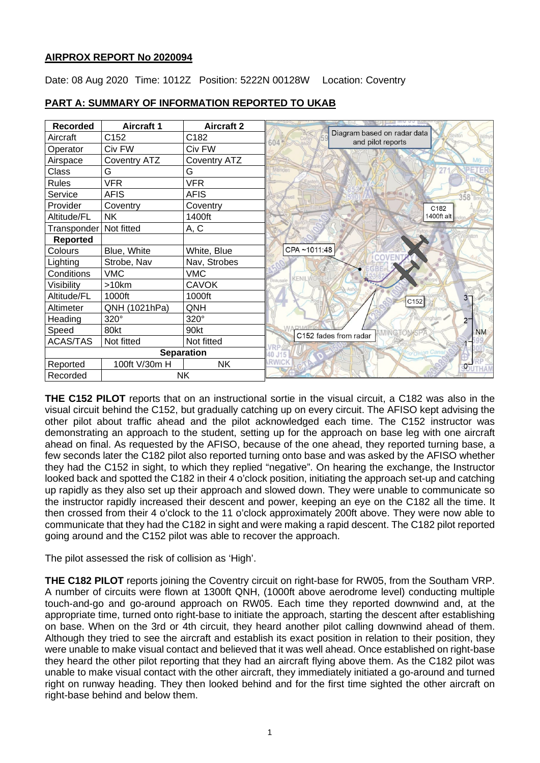## **AIRPROX REPORT No 2020094**

Date: 08 Aug 2020 Time: 1012Z Position: 5222N 00128W Location: Coventry

| <b>Recorded</b>          | <b>Aircraft 1</b>   | <b>Aircraft 2</b>   | La muu uu <u>is</u>                                      |
|--------------------------|---------------------|---------------------|----------------------------------------------------------|
| Aircraft                 | C152                | C182                | Diagram based on radar data<br>and pilot reports<br>6045 |
| Operator                 | Civ FW              | Civ FW              |                                                          |
| Airspace                 | <b>Coventry ATZ</b> | <b>Coventry ATZ</b> | M <sub>6</sub>                                           |
| Class                    | G                   | G                   |                                                          |
| Rules                    | <b>VFR</b>          | <b>VFR</b>          |                                                          |
| Service                  | <b>AFIS</b>         | <b>AFIS</b>         | 358                                                      |
| Provider                 | Coventry            | Coventry            | C <sub>182</sub>                                         |
| Altitude/FL              | NΚ                  | 1400ft              | 1400ft alt                                               |
| Transponder   Not fitted |                     | A, C                |                                                          |
| Reported                 |                     |                     |                                                          |
| Colours                  | Blue, White         | White, Blue         | CPA~1011:48                                              |
| Lighting                 | Strobe, Nav         | Nav, Strobes        |                                                          |
| Conditions               | <b>VMC</b>          | <b>VMC</b>          | KENIL                                                    |
| Visibility               | >10km               | <b>CAVOK</b>        |                                                          |
| Altitude/FL              | 1000ft              | 1000ft              | 3 <sup>2</sup><br>C152                                   |
| Altimeter                | QNH (1021hPa)       | QNH                 |                                                          |
| Heading                  | 320°                | 320°                | ininghàm<br>2 <sup>7</sup>                               |
| Speed                    | 80kt                | 90kt                | <b>NM</b><br>C152 fades from radar                       |
| <b>ACAS/TAS</b>          | Not fitted          | Not fitted          |                                                          |
| <b>Separation</b>        |                     |                     |                                                          |
| Reported                 | 100ft V/30m H       | <b>NK</b>           | 950                                                      |
| <b>NK</b><br>Recorded    |                     |                     |                                                          |

# **PART A: SUMMARY OF INFORMATION REPORTED TO UKAB**

**THE C152 PILOT** reports that on an instructional sortie in the visual circuit, a C182 was also in the visual circuit behind the C152, but gradually catching up on every circuit. The AFISO kept advising the other pilot about traffic ahead and the pilot acknowledged each time. The C152 instructor was demonstrating an approach to the student, setting up for the approach on base leg with one aircraft ahead on final. As requested by the AFISO, because of the one ahead, they reported turning base, a few seconds later the C182 pilot also reported turning onto base and was asked by the AFISO whether they had the C152 in sight, to which they replied "negative". On hearing the exchange, the Instructor looked back and spotted the C182 in their 4 o'clock position, initiating the approach set-up and catching up rapidly as they also set up their approach and slowed down. They were unable to communicate so the instructor rapidly increased their descent and power, keeping an eye on the C182 all the time. It then crossed from their 4 o'clock to the 11 o'clock approximately 200ft above. They were now able to communicate that they had the C182 in sight and were making a rapid descent. The C182 pilot reported going around and the C152 pilot was able to recover the approach.

The pilot assessed the risk of collision as 'High'.

**THE C182 PILOT** reports joining the Coventry circuit on right-base for RW05, from the Southam VRP. A number of circuits were flown at 1300ft QNH, (1000ft above aerodrome level) conducting multiple touch-and-go and go-around approach on RW05. Each time they reported downwind and, at the appropriate time, turned onto right-base to initiate the approach, starting the descent after establishing on base. When on the 3rd or 4th circuit, they heard another pilot calling downwind ahead of them. Although they tried to see the aircraft and establish its exact position in relation to their position, they were unable to make visual contact and believed that it was well ahead. Once established on right-base they heard the other pilot reporting that they had an aircraft flying above them. As the C182 pilot was unable to make visual contact with the other aircraft, they immediately initiated a go-around and turned right on runway heading. They then looked behind and for the first time sighted the other aircraft on right-base behind and below them.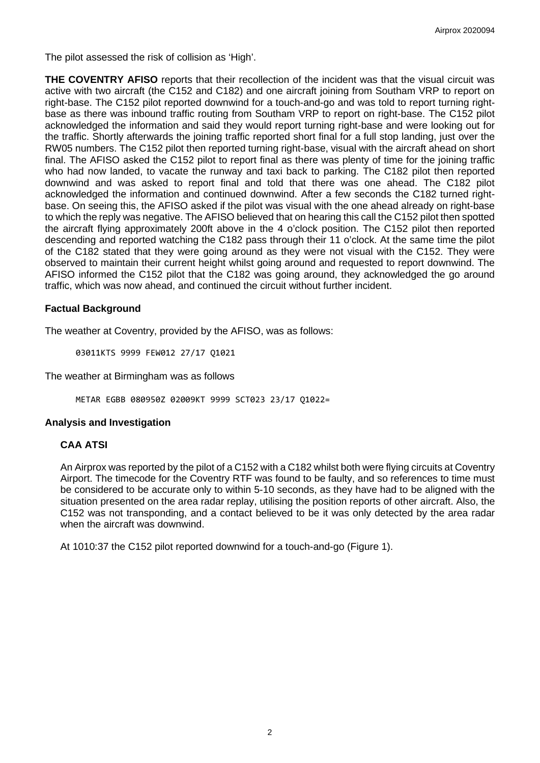The pilot assessed the risk of collision as 'High'.

**THE COVENTRY AFISO** reports that their recollection of the incident was that the visual circuit was active with two aircraft (the C152 and C182) and one aircraft joining from Southam VRP to report on right-base. The C152 pilot reported downwind for a touch-and-go and was told to report turning rightbase as there was inbound traffic routing from Southam VRP to report on right-base. The C152 pilot acknowledged the information and said they would report turning right-base and were looking out for the traffic. Shortly afterwards the joining traffic reported short final for a full stop landing, just over the RW05 numbers. The C152 pilot then reported turning right-base, visual with the aircraft ahead on short final. The AFISO asked the C152 pilot to report final as there was plenty of time for the joining traffic who had now landed, to vacate the runway and taxi back to parking. The C182 pilot then reported downwind and was asked to report final and told that there was one ahead. The C182 pilot acknowledged the information and continued downwind. After a few seconds the C182 turned rightbase. On seeing this, the AFISO asked if the pilot was visual with the one ahead already on right-base to which the reply was negative. The AFISO believed that on hearing this call the C152 pilot then spotted the aircraft flying approximately 200ft above in the 4 o'clock position. The C152 pilot then reported descending and reported watching the C182 pass through their 11 o'clock. At the same time the pilot of the C182 stated that they were going around as they were not visual with the C152. They were observed to maintain their current height whilst going around and requested to report downwind. The AFISO informed the C152 pilot that the C182 was going around, they acknowledged the go around traffic, which was now ahead, and continued the circuit without further incident.

## **Factual Background**

The weather at Coventry, provided by the AFISO, was as follows:

03011KTS 9999 FEW012 27/17 Q1021

The weather at Birmingham was as follows

METAR EGBB 080950Z 02009KT 9999 SCT023 23/17 Q1022=

#### **Analysis and Investigation**

#### **CAA ATSI**

An Airprox was reported by the pilot of a C152 with a C182 whilst both were flying circuits at Coventry Airport. The timecode for the Coventry RTF was found to be faulty, and so references to time must be considered to be accurate only to within 5-10 seconds, as they have had to be aligned with the situation presented on the area radar replay, utilising the position reports of other aircraft. Also, the C152 was not transponding, and a contact believed to be it was only detected by the area radar when the aircraft was downwind.

At 1010:37 the C152 pilot reported downwind for a touch-and-go (Figure 1).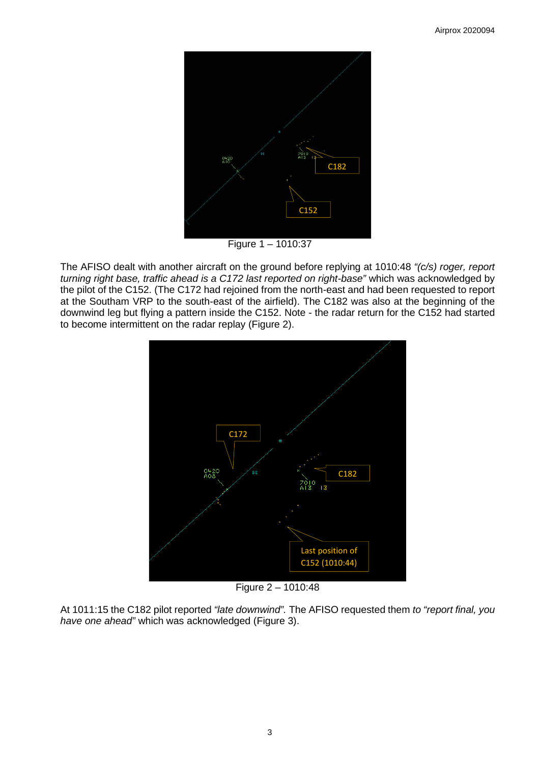

The AFISO dealt with another aircraft on the ground before replying at 1010:48 *"(c/s) roger, report turning right base, traffic ahead is a C172 last reported on right-base"* which was acknowledged by the pilot of the C152. (The C172 had rejoined from the north-east and had been requested to report at the Southam VRP to the south-east of the airfield). The C182 was also at the beginning of the downwind leg but flying a pattern inside the C152. Note - the radar return for the C152 had started to become intermittent on the radar replay (Figure 2).



Figure 2 – 1010:48

At 1011:15 the C182 pilot reported *"late downwind".* The AFISO requested them *to "report final, you have one ahead"* which was acknowledged (Figure 3).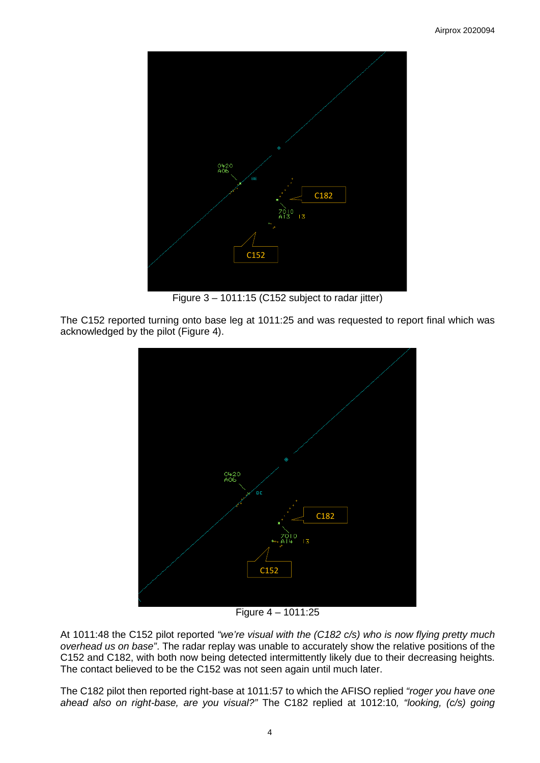

Figure 3 – 1011:15 (C152 subject to radar jitter)

The C152 reported turning onto base leg at 1011:25 and was requested to report final which was acknowledged by the pilot (Figure 4).



Figure 4 – 1011:25

At 1011:48 the C152 pilot reported *"we're visual with the (C182 c/s) who is now flying pretty much overhead us on base"*. The radar replay was unable to accurately show the relative positions of the C152 and C182, with both now being detected intermittently likely due to their decreasing heights. The contact believed to be the C152 was not seen again until much later.

The C182 pilot then reported right-base at 1011:57 to which the AFISO replied *"roger you have one ahead also on right-base, are you visual?"* The C182 replied at 1012:10*, "looking, (c/s) going*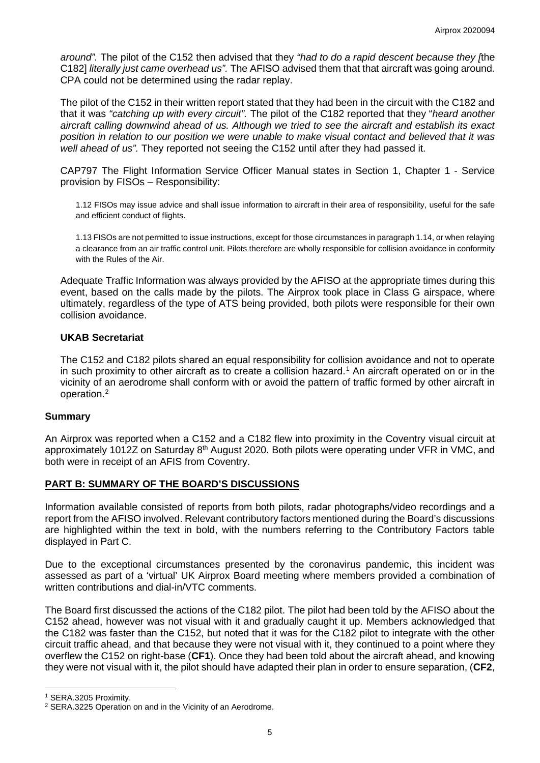*around".* The pilot of the C152 then advised that they *"had to do a rapid descent because they [*the C182] *literally just came overhead us".* The AFISO advised them that that aircraft was going around. CPA could not be determined using the radar replay.

The pilot of the C152 in their written report stated that they had been in the circuit with the C182 and that it was *"catching up with every circuit".* The pilot of the C182 reported that they "*heard another aircraft calling downwind ahead of us. Although we tried to see the aircraft and establish its exact position in relation to our position we were unable to make visual contact and believed that it was well ahead of us".* They reported not seeing the C152 until after they had passed it.

CAP797 The Flight Information Service Officer Manual states in Section 1, Chapter 1 - Service provision by FISOs – Responsibility:

1.12 FISOs may issue advice and shall issue information to aircraft in their area of responsibility, useful for the safe and efficient conduct of flights.

1.13 FISOs are not permitted to issue instructions, except for those circumstances in paragraph 1.14, or when relaying a clearance from an air traffic control unit. Pilots therefore are wholly responsible for collision avoidance in conformity with the Rules of the Air.

Adequate Traffic Information was always provided by the AFISO at the appropriate times during this event, based on the calls made by the pilots. The Airprox took place in Class G airspace, where ultimately, regardless of the type of ATS being provided, both pilots were responsible for their own collision avoidance.

## **UKAB Secretariat**

The C152 and C182 pilots shared an equal responsibility for collision avoidance and not to operate in such proximity to other aircraft as to create a collision hazard. [1](#page-4-0) An aircraft operated on or in the vicinity of an aerodrome shall conform with or avoid the pattern of traffic formed by other aircraft in operation. [2](#page-4-1)

## **Summary**

An Airprox was reported when a C152 and a C182 flew into proximity in the Coventry visual circuit at approximately 1012Z on Saturday 8<sup>th</sup> August 2020. Both pilots were operating under VFR in VMC, and both were in receipt of an AFIS from Coventry.

## **PART B: SUMMARY OF THE BOARD'S DISCUSSIONS**

Information available consisted of reports from both pilots, radar photographs/video recordings and a report from the AFISO involved. Relevant contributory factors mentioned during the Board's discussions are highlighted within the text in bold, with the numbers referring to the Contributory Factors table displayed in Part C.

Due to the exceptional circumstances presented by the coronavirus pandemic, this incident was assessed as part of a 'virtual' UK Airprox Board meeting where members provided a combination of written contributions and dial-in/VTC comments.

The Board first discussed the actions of the C182 pilot. The pilot had been told by the AFISO about the C152 ahead, however was not visual with it and gradually caught it up. Members acknowledged that the C182 was faster than the C152, but noted that it was for the C182 pilot to integrate with the other circuit traffic ahead, and that because they were not visual with it, they continued to a point where they overflew the C152 on right-base (**CF1**). Once they had been told about the aircraft ahead, and knowing they were not visual with it, the pilot should have adapted their plan in order to ensure separation, (**CF2**,

<span id="page-4-0"></span><sup>1</sup> SERA.3205 Proximity.

<span id="page-4-1"></span><sup>2</sup> SERA.3225 Operation on and in the Vicinity of an Aerodrome.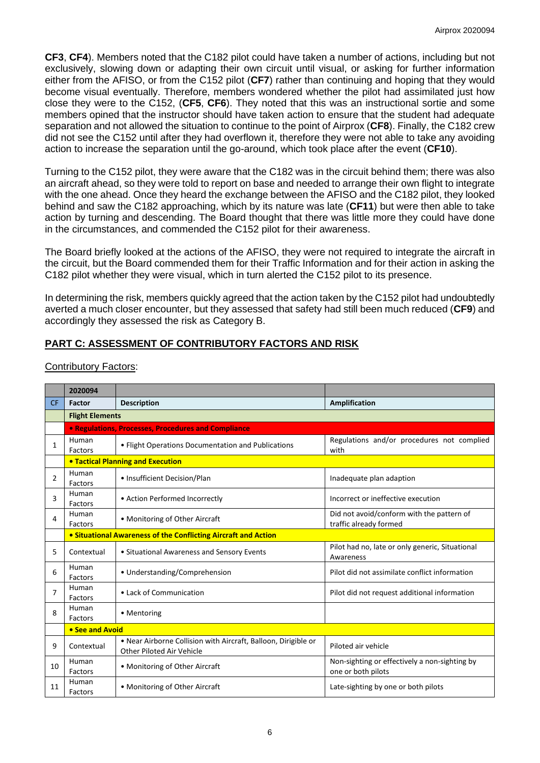**CF3**, **CF4**). Members noted that the C182 pilot could have taken a number of actions, including but not exclusively, slowing down or adapting their own circuit until visual, or asking for further information either from the AFISO, or from the C152 pilot (**CF7**) rather than continuing and hoping that they would become visual eventually. Therefore, members wondered whether the pilot had assimilated just how close they were to the C152, (**CF5**, **CF6**). They noted that this was an instructional sortie and some members opined that the instructor should have taken action to ensure that the student had adequate separation and not allowed the situation to continue to the point of Airprox (**CF8**). Finally, the C182 crew did not see the C152 until after they had overflown it, therefore they were not able to take any avoiding action to increase the separation until the go-around, which took place after the event (**CF10**).

Turning to the C152 pilot, they were aware that the C182 was in the circuit behind them; there was also an aircraft ahead, so they were told to report on base and needed to arrange their own flight to integrate with the one ahead. Once they heard the exchange between the AFISO and the C182 pilot, they looked behind and saw the C182 approaching, which by its nature was late (**CF11**) but were then able to take action by turning and descending. The Board thought that there was little more they could have done in the circumstances, and commended the C152 pilot for their awareness.

The Board briefly looked at the actions of the AFISO, they were not required to integrate the aircraft in the circuit, but the Board commended them for their Traffic Information and for their action in asking the C182 pilot whether they were visual, which in turn alerted the C152 pilot to its presence.

In determining the risk, members quickly agreed that the action taken by the C152 pilot had undoubtedly averted a much closer encounter, but they assessed that safety had still been much reduced (**CF9**) and accordingly they assessed the risk as Category B.

# **PART C: ASSESSMENT OF CONTRIBUTORY FACTORS AND RISK**

|           | 2020094                                                        |                                                                                             |                                                                     |  |  |  |  |  |  |
|-----------|----------------------------------------------------------------|---------------------------------------------------------------------------------------------|---------------------------------------------------------------------|--|--|--|--|--|--|
| <b>CF</b> | Factor                                                         | <b>Description</b>                                                                          | Amplification                                                       |  |  |  |  |  |  |
|           | <b>Flight Elements</b>                                         |                                                                                             |                                                                     |  |  |  |  |  |  |
|           |                                                                | • Regulations, Processes, Procedures and Compliance                                         |                                                                     |  |  |  |  |  |  |
| 1         | Human<br>Factors                                               | • Flight Operations Documentation and Publications                                          | Regulations and/or procedures not complied<br>with                  |  |  |  |  |  |  |
|           | <b>. Tactical Planning and Execution</b>                       |                                                                                             |                                                                     |  |  |  |  |  |  |
| 2         | Human<br>Factors                                               | • Insufficient Decision/Plan                                                                | Inadequate plan adaption                                            |  |  |  |  |  |  |
| 3         | Human<br>Factors                                               | • Action Performed Incorrectly                                                              | Incorrect or ineffective execution                                  |  |  |  |  |  |  |
| 4         | Human<br>Factors                                               | • Monitoring of Other Aircraft                                                              | Did not avoid/conform with the pattern of<br>traffic already formed |  |  |  |  |  |  |
|           | • Situational Awareness of the Conflicting Aircraft and Action |                                                                                             |                                                                     |  |  |  |  |  |  |
| 5         | Contextual                                                     | • Situational Awareness and Sensory Events                                                  | Pilot had no, late or only generic, Situational<br>Awareness        |  |  |  |  |  |  |
| 6         | Human<br>Factors                                               | • Understanding/Comprehension                                                               | Pilot did not assimilate conflict information                       |  |  |  |  |  |  |
| 7         | Human<br>Factors                                               | • Lack of Communication                                                                     | Pilot did not request additional information                        |  |  |  |  |  |  |
| 8         | Human<br>Factors                                               | • Mentoring                                                                                 |                                                                     |  |  |  |  |  |  |
|           | • See and Avoid                                                |                                                                                             |                                                                     |  |  |  |  |  |  |
| 9         | Contextual                                                     | . Near Airborne Collision with Aircraft, Balloon, Dirigible or<br>Other Piloted Air Vehicle | Piloted air vehicle                                                 |  |  |  |  |  |  |
| 10        | Human<br>Factors                                               | • Monitoring of Other Aircraft                                                              | Non-sighting or effectively a non-sighting by<br>one or both pilots |  |  |  |  |  |  |
| 11        | Human<br>Factors                                               | • Monitoring of Other Aircraft                                                              | Late-sighting by one or both pilots                                 |  |  |  |  |  |  |

#### Contributory Factors: